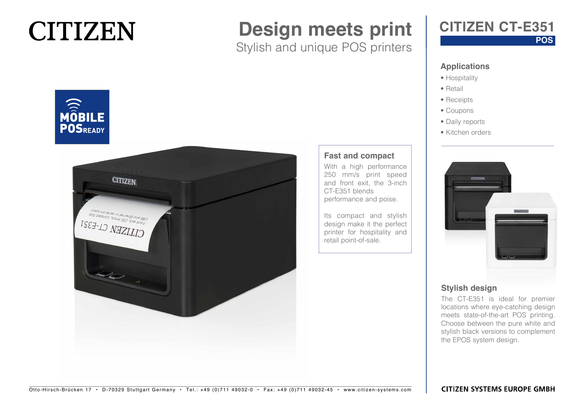## **CITIZEN**

## **Design meets print**

Stylish and unique POS printers

### **CITIZEN CT-E351**

#### **POS**

#### **Applications**

- Hospitality
- Retail
- Receipts
- Coupons
- Daily reports
- Kitchen orders



#### **Stylish design**

The CT-E351 is ideal for premier locations where eye-catching design meets state-of-the-art POS printing. Choose between the pure white and stylish black versions to complement the EPOS system design.





#### **Fast and compact**

With a high performance 250 mm/s print speed and front exit, the 3-inch CT-E351 blends performance and poise.

Its compact and stylish design make it the perfect printer for hospitality and retail point-of-sale.